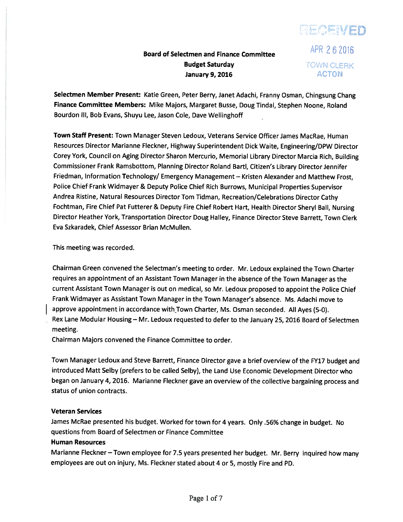# RECEIVED Board of Selectmen and Finance Committee  $APR$  2 6 2016

# Budget Saturday **IOWN CLERK** January 9, 2016 **ACTON**

Selectmen Member Present: Katie Green, Peter Berry, Janet Adachi, Franny Osman, Chingsung Chang Finance Committee Members: Mike Majors, Margaret Busse, Doug Tindal, Stephen Noone, Roland Bourdon Ill, Bob Evans, Shuyu Lee, Jason Cole, Dave Wellinghoff

Town Staff Present: Town Manager Steven Ledoux, Veterans Service Officer James MacRae, Human Resources Director Marianne Fleckner, Highway Superintendent Dick Waite, Engineering/DPW Director Corey York, Council on Aging Director Sharon Mercurio, Memorial Library Director Marcia Rich, Building Commissioner Frank Ramsbottom, Planning Director Roland Bartl, Citizen's Library Director Jennifer Friedman, Information Technology/ Emergency Management - Kristen Alexander and Matthew Frost, Police Chief Frank Widmayer & Deputy Police Chief Rich Burrows, Municipal Properties Supervisor Andrea Ristine, Natural Resources Director Tom Tidman, Recreation/Celebrations Director Cathy Fochtman, Fire Chief Pat Futterer & Deputy Fire Chief Robert Hart, Health Director Sheryl Ball, Nursing Director Heather York, Transportation Director Doug Halley, Finance Director Steve Barrett, Town Clerk Eva Szkaradek, Chief Assessor Brian McMullen.

This meeting was recorded.

Chairman Green convened the Selectman's meeting to order. Mr. Ledoux explained the Town Charter requires an appointment of an Assistant Town Manager in the absence of the Town Manager as the current Assistant Town Manager is out on medical, so Mr. Ledoux propose<sup>d</sup> to appoint the Police Chief Frank Widmayer as Assistant Town Manager in the Town Manager's absence. Ms. Adachi move to approve appointment in accordance with Town Charter, Ms. Osman seconded. All Ayes (5-0). Rex Lane Modular Housing — Mr. Ledoux requested to defer to the January 25, <sup>2016</sup> Board of Selectmen meeting.

Chairman Majors convened the Finance Committee to order.

Town Manager Ledoux and Steve Barrett, Finance Director gave <sup>a</sup> brief overview of the FY17 budget and introduced Matt Selby (prefers to be called Selby), the Land Use Economic Development Director who began on January 4, 2016. Marianne Fleckner gave an overview of the collective bargaining process and status of union contracts.

# Veteran Services

James McRae presented his budget. Worked for town for <sup>4</sup> years. Only .56% change in budget. No questions from Board of Selectmen or Finance Committee

# Human Resources

Marianne Fleckner — Town employee for 7.5 years presented her budget. Mr. Berry inquired how many employees are out on injury, Ms. Fleckner stated about <sup>4</sup> or 5, mostly Fire and PD.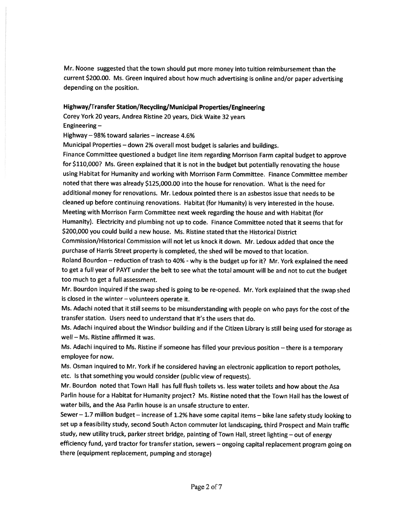Mr. Noone suggested that the town should pu<sup>t</sup> more money into tuition reimbursement than the current \$200.00. Ms. Green inquired about how much advertising is online and/or paper advertising depending on the position.

# Highway/Transfer Station/Recycling/Municipal Properties/Engineering

Corey York <sup>20</sup> years, Andrea Ristine <sup>20</sup> years, Dick Waite <sup>32</sup> years Engineering —

Highway — 98% toward salaries — increase 4.6%

Municipal Properties — down 2% overall most budget is salaries and buildings.

Finance Committee questioned <sup>a</sup> budget line item regarding Morrison Farm capital budget to approve for \$110,000? Ms. Green explained that it is not in the budget but potentially renovating the house using Habitat for Humanity and working with Morrison Farm Committee. Finance Committee member noted that there was already \$125,000.00 into the house for renovation. What is the need for additional money for renovations. Mr. Ledoux pointed there is an asbestos issue that needs to be cleaned up before continuing renovations. Habitat (for Humanity) is very interested in the house. Meeting with Morrison Farm Committee next week regarding the house and with Habitat (for Humanity). Electricity and <sup>p</sup>lumbing not up to code. Finance Committee noted that it seems that for \$200,000 you could build <sup>a</sup> new house. Ms. Ristine stated that the Historical District

Commission/Historical Commission will not let us knock it down. Mr. Ledoux added that once the purchase of Harris Street property is completed, the shed will be moved to that location.

Roland Bourdon – reduction of trash to 40% - why is the budget up for it? Mr. York explained the need to ge<sup>t</sup> <sup>a</sup> full year of PAYT under the belt to see what the total amount will be and not to cut the budget too much to ge<sup>t</sup> <sup>a</sup> full assessment.

Mr. Bourdon inquired if the swap shed is going to be re-opened. Mr. York explained that the swap shed is closed in the winter — volunteers operate it.

Ms. Adachi noted that it still seems to be misunderstanding with people on who pays for the cost of the transfer station. Users need to understand that it's the users that do.

Ms. Adachi inquired about the Windsor building and if the Citizen Library is still being used for storage as well — Ms. Ristine affirmed it was.

Ms. Adachi inquired to Ms. Ristine if someone has filled your previous position —there is <sup>a</sup> temporary employee for now.

Ms. Osman inquired to Mr. York if he considered having an electronic application to repor<sup>t</sup> potholes, etc. Is that something you would consider (public view of requests).

Mr. Bourdon noted that Town Hall has full flush toilets vs. less water toilets and how about the Asa Parlin house for <sup>a</sup> Habitat for Humanity project? Ms. Ristine noted that the Town Hall has the lowest of water bills, and the Asa Parlin house is an unsafe structure to enter.

Sewer — 1.7 million budget — increase of 1.2% have some capital items — bike lane safety study looking to set up <sup>a</sup> feasibility study, second South Acton commuter lot landscaping, third Prospect and Main traffic study, new utility truck, parker street bridge, painting of Town Hall, street lighting — out of energy efficiency fund, yar<sup>d</sup> tractor for transfer station, sewers — ongoing capital replacement program going on there (equipment replacement, pumping and storage)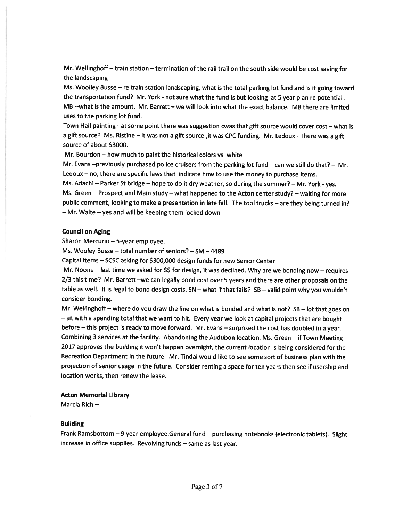Mr. Wellinghoff — train station — termination of the rail trail on the south side would be cost saving for the landscaping

Ms. Woolley Busse — re train station landscaping, what is the total parking lot fund and is it going toward the transportation fund? Mr. York - not sure what the fund is but looking at 5 year plan re potential. MB --what is the amount. Mr. Barrett — we will look into what the exact balance. MB there are limited uses to the parking lot fund.

Town Hall painting —at some point there was suggestion cwas that <sup>g</sup>ift source would cover cost — what is a gift source? Ms. Ristine - it was not a gift source, it was CPC funding. Mr. Ledoux - There was a gift source of about \$3000.

Mr. Bourdon — how much to paint the historical colors vs. white

Mr. Evans —previously purchased police cruisers from the parking lot fund — can we still do that? — Mr. Ledoux — no, there are specific laws that indicate how to use the money to purchase items.

Ms. Adachi — Parker St bridge — hope to do it dry weather, so during the summer? — Mr. York -yes. Ms. Green — Prospect and Main study — what happened to the Acton center study? — waiting for more public comment, looking to make <sup>a</sup> presentation in late fall. The tool trucks — are they being turned in? — Mr. Waite — yes and will be keeping them locked down

#### Council on Aging

Sharon Mercurio — 5-year employee.

Ms. Wooley Busse — total number of seniors? — SM —4489

Capital Items — SCSC asking for \$300,000 design funds for new Senior Center

Mr. Noone – last time we asked for  $\frac{1}{2}$  for design, it was declined. Why are we bonding now – requires 2/3 this time? Mr. Barrett —we can legally bond cost over <sup>5</sup> years and there are other proposals on the table as well. It is legal to bond design costs. SN — what if that fails? SB — valid point why you wouldn't consider bonding.

Mr. Wellinghoff — where do you draw the line on what is bonded and what is not? SB — lot that goes on — sit with <sup>a</sup> spending total that we want to hit. Every year we look at capital projects that are bought before —this project is ready to move forward. Mr. Evans —surprised the cost has doubled in <sup>a</sup> year. Combining <sup>3</sup> services at the facility. Abandoning the Audubon location. Ms. Green — if Town Meeting <sup>2017</sup> approves the building it won't happen overnight, the current location is being considered for the Recreation Department in the future. Mr. Tindal would like to see some sort of business <sup>p</sup>lan with the projection of senior usage in the future. Consider renting <sup>a</sup> space for ten years then see if usership and location works, then renew the lease.

#### Acton Memorial Library

Marcia Rich —

#### Building

Frank Ramsbottom —9 year employee.General fund — purchasing notebooks (electronic tablets). Slight increase in office supplies. Revolving funds — same as last year.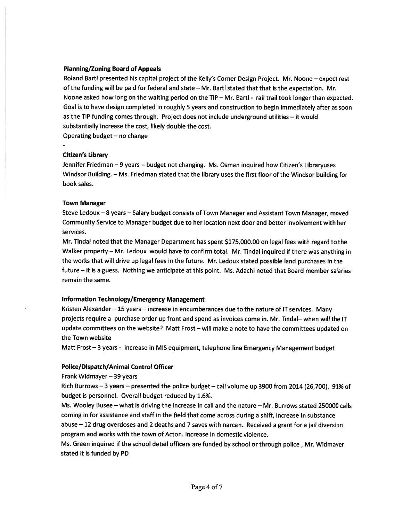## Planning/Zoning Board of Appeals

Roland Bartl presented his capital project of the Kelly's Corner Design Project. Mr. Noone — expec<sup>t</sup> rest of the funding will be paid for federal and state — Mr. Bartl stated that that is the expectation. Mr. Noone asked how long on the waiting period on the TIP — Mr. Bartl - rail trail took longer than expected. Goal is to have design completed in roughly 5 years and construction to begin immediately after as soon as the TIP funding comes through. Project does not include underground utilities — it would substantially increase the cost, likely double the cost.

Operating budget — no change

## Citizen's Library

Jennifer Friedman —9 years — budget not changing. Ms. Osman inquired how Citizen's Libraryuses Windsor Building. — Ms. Friedman stated that the library uses the first floor of the Windsor building for book sales.

#### Town Manager

Steve Ledoux —8 years — Salary budget consists of Town Manager and Assistant Town Manager, moved Community Service to Manager budget due to her location next door and better involvement with her services.

Mr. Tindal noted that the Manager Department has spen<sup>t</sup> \$175,000.00 on legal fees with regard to the Walker property — Mr. Ledoux would have to confirm total. Mr. Tindal inquired if there was anything in the works that will drive up legal fees in the future. Mr. Ledoux stated possible land purchases in the future — it is <sup>a</sup> guess. Nothing we anticipate at this point. Ms. Adachi noted that Board member salaries remain the same.

# Information Technology/Emergency Management

Kristen Alexander — 15 years — increase in encumberances due to the nature of IT services. Many projects require <sup>a</sup> purchase order up front and spend as invoices come in. Mr. Tindal— when will the IT update committees on the website? Matt Frost — will make <sup>a</sup> note to have the committees updated on the Town website

Matt Frost —3 years - increase in MIS equipment, telephone line Emergency Management budget

# Police/Dispatch/Animal Control Officer

Frank Widmayer —39 years

Rich Burrows —3 years — presented the police budget — call volume up 3900 from 2014 (26,700). 91% of budget is personnel. Overall budget reduced by 1.6%.

Ms. Wooley Busee — what is driving the increase in call and the nature — Mr. Burrows stated 250000 calls coming in for assistance and staff in the field that come across during <sup>a</sup> shift, increase in substance abuse — <sup>12</sup> drug overdoses and <sup>2</sup> deaths and <sup>7</sup> saves with narcan. Received <sup>a</sup> gran<sup>t</sup> for <sup>a</sup> jail diversion program and works with the town of Acton. Increase in domestic violence.

Ms. Green inquired if the school detail officers are funded by school or through police, Mr. Widmayer stated it is funded by PD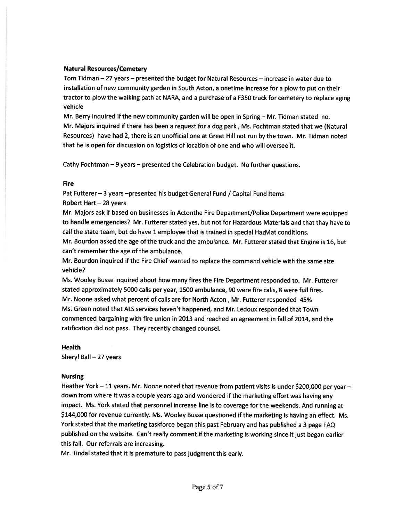#### Natural Resources/Cemetery

Tom Tidman — 27 years — presented the budget for Natural Resources — increase in water due to installation of new community garden in South Acton, <sup>a</sup> onetime increase for <sup>a</sup> <sup>p</sup>low to pu<sup>t</sup> on their tractor to <sup>p</sup>low the walking path at NARA, and <sup>a</sup> purchase of <sup>a</sup> F350 truck for cemetery to replace aging vehicle

Mr. Berry inquired if the new community garden will be open in Spring — Mr. Tidman stated no. Mr. Majors inquired if there has been <sup>a</sup> reques<sup>t</sup> for <sup>a</sup> dog park, Ms. Fochtman stated that we (Natural Resources) have had 2, there is an unofficial one at Great Hill not run by the town. Mr. Tidman noted that he is open for discussion on logistics of location of one and who will oversee it.

Cathy Fochtman —9 years — presented the Celebration budget. No further questions.

#### Fire

Pat Futterer - 3 years -presented his budget General Fund / Capital Fund Items Robert Hart — 28 years

Mr. Majors ask if based on businesses in Actonthe Fire Department/Police Department were equipped to handle emergencies? Mr. Futterer stated yes, but not for Hazardous Materials and that thay have to call the state team, but do have <sup>1</sup> employee that is trained in special HazMat conditions.

Mr. Bourdon asked the age of the truck and the ambulance. Mr. Futterer stated that Engine is 16, but can't remember the age of the ambulance.

Mr. Bourdon inquired if the Fire Chief wanted to replace the command vehicle with the same size vehicle?

Ms. Wooley Busse inquired about how many fires the Fire Department responded to. Mr. Futterer stated approximately 5000 calls per year, 1500 ambulance, 90 were fire calls, 8 were full fires. Mr. Noone asked what percen<sup>t</sup> of calls are for North Acton, Mr. Futterer responded 45% Ms. Green noted that ALS services haven't happened, and Mr. Ledoux responded that Town commenced bargaining with fire union in 2013 and reached an agreemen<sup>t</sup> in fall of 2014, and the ratification did not pass. They recently changed counsel.

#### Health

Sheryl Ball —27 years

#### Nursing

Heather York — <sup>11</sup> years. Mr. Noone noted that revenue from patient visits is under \$200,000 per year down from where it was <sup>a</sup> couple years ago and wondered if the marketing effort was having any impact. Ms. York stated that personne<sup>l</sup> increase line is to coverage for the weekends. And running at \$144,000 for revenue currently. Ms. Wooley Busse questioned if the marketing is having an effect. Ms. York stated that the marketing taskforce began this pas<sup>t</sup> February and has published <sup>a</sup> <sup>3</sup> page FAQ published on the website. Can't really comment if the marketing is working since it just began earlier this fall. Our referrals are increasing.

Mr. Tindal stated that it is premature to pass judgment this early.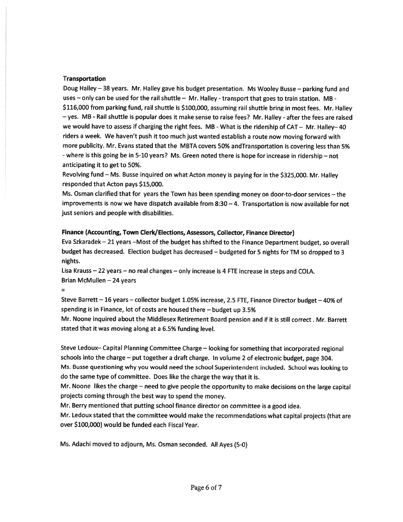#### Transportation

Doug Halley —38 years. Mr. Halley gave his budget presentation. Ms Wooley Busse — parking fund and uses — only can be used for the rail shuttle — Mr. Halley - transport that goes to train station. MB - \$116,000 from parking fund, rail shuttle is \$100,000, assuming rail shuttle bring in most fees. Mr. Halley — yes. MB -Rail shuttle is popular does it make sense to raise fees? Mr. Halley - after the fees are raised we would have to assess if charging the right fees. MB - What is the ridership of CAT - Mr. Halley-40 riders <sup>a</sup> week. We haven't pus<sup>h</sup> it too much just wanted establish <sup>a</sup> route now moving forward with more publicity. Mr. Evans stated that the MBTA covers 50% andTransportation is covering less than 5% -where is this going be in 5-10 years? Ms. Green noted there is hope for increase in ridership — not anticipating it to ge<sup>t</sup> to 50%.

Revolving fund — Ms. Busse inquired on what Acton money is paying for in the \$325,000. Mr. Halley responded that Acton pays \$15,000.

Ms. Osman clarified that for years the Town has been spending money on door-to-door services — the improvements is now we have dispatch available from  $8:30 - 4$ . Transportation is now available for not just seniors and people with disabilities.

## Finance (Accounting, Town Clerk/Elections, Assessors, Collector, Finance Director)

Eva Szkaradek — <sup>21</sup> years —Most of the budget has shifted to the Finance Department budget, so overall budget has decreased. Election budget has decreased — budgeted for <sup>5</sup> nights for TM so dropped to <sup>3</sup> nights.

Lisa Krauss —22 years — no real changes — only increase is <sup>4</sup> FTE increase in steps and COLA. Brian McMullen —24 years

 $=$ 

Steve Barrett — <sup>16</sup> years — collector budget 1.05% increase, 2.5 FTE, Finance Director budget — 40% of spending is in Finance, lot of costs are housed there — budget up 3.5%

Mr. Noone inquired about the Middlesex Retirement Board pension and if it is still correct. Mr. Barrett stated that it was moving along at <sup>a</sup> 6.5% funding level.

Steve Ledoux— Capital Planning Committee Charge — looking for something that incorporated regional schools into the charge — pu<sup>t</sup> together <sup>a</sup> draft charge. In volume <sup>2</sup> of electronic budget, page 304. Ms. Busse questioning why you would need the school Superintendent included. School was looking to do the same type of committee. Does like the charge the way that it is.

Mr. Noone likes the charge — need to <sup>g</sup>ive people the opportunity to make decisions on the large capital projects coming through the best way to spen<sup>d</sup> the money.

Mr. Berry mentioned that putting school finance director on committee is <sup>a</sup> goo<sup>d</sup> idea.

Mr. Ledoux stated that the committee would make the recommendations what capital projects (that are over \$100,000) would be funded each Fiscal Year.

Ms. Adachi moved to adjourn, Ms. Osman seconded. All Ayes (5-0)